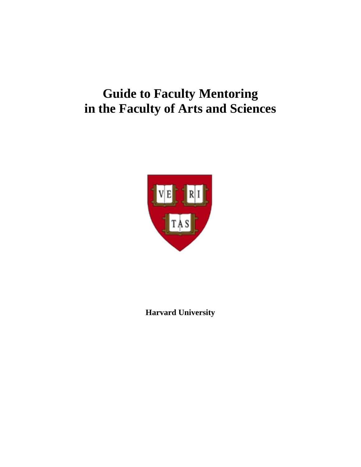# **Guide to Faculty Mentoring in the Faculty of Arts and Sciences**



**Harvard University**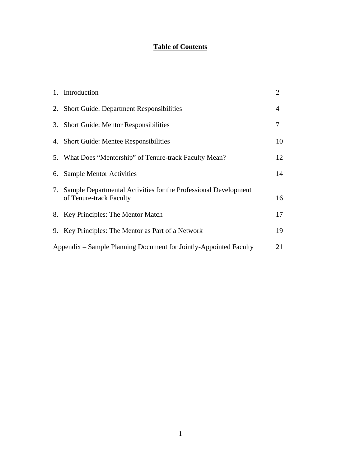## **Table of Contents**

|                                                                         | 1. Introduction                                                                               | $\overline{2}$ |  |
|-------------------------------------------------------------------------|-----------------------------------------------------------------------------------------------|----------------|--|
|                                                                         | 2. Short Guide: Department Responsibilities                                                   | 4              |  |
|                                                                         | 3. Short Guide: Mentor Responsibilities                                                       | 7              |  |
|                                                                         | 4. Short Guide: Mentee Responsibilities                                                       | 10             |  |
|                                                                         | 5. What Does "Mentorship" of Tenure-track Faculty Mean?                                       | 12             |  |
|                                                                         | 6. Sample Mentor Activities                                                                   | 14             |  |
|                                                                         | 7. Sample Departmental Activities for the Professional Development<br>of Tenure-track Faculty | 16             |  |
|                                                                         | 8. Key Principles: The Mentor Match                                                           | 17             |  |
|                                                                         | 9. Key Principles: The Mentor as Part of a Network                                            | 19             |  |
| Appendix – Sample Planning Document for Jointly-Appointed Faculty<br>21 |                                                                                               |                |  |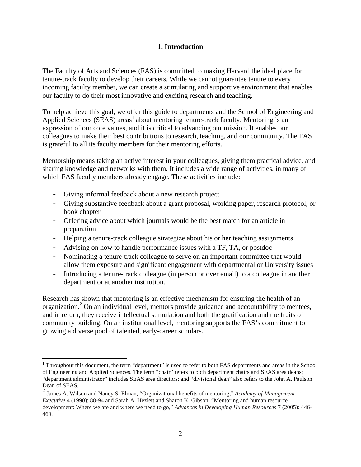## **1. Introduction**

The Faculty of Arts and Sciences (FAS) is committed to making Harvard the ideal place for tenure-track faculty to develop their careers. While we cannot guarantee tenure to every incoming faculty member, we can create a stimulating and supportive environment that enables our faculty to do their most innovative and exciting research and teaching.

To help achieve this goal, we offer this guide to departments and the School of Engineering and Applied Sciences (SEAS) areas<sup>1</sup> about mentoring tenure-track faculty. Mentoring is an expression of our core values, and it is critical to advancing our mission. It enables our colleagues to make their best contributions to research, teaching, and our community. The FAS is grateful to all its faculty members for their mentoring efforts.

Mentorship means taking an active interest in your colleagues, giving them practical advice, and sharing knowledge and networks with them. It includes a wide range of activities, in many of which FAS faculty members already engage. These activities include:

- **-** Giving informal feedback about a new research project
- **-** Giving substantive feedback about a grant proposal, working paper, research protocol, or book chapter
- **-** Offering advice about which journals would be the best match for an article in preparation
- **-** Helping a tenure-track colleague strategize about his or her teaching assignments
- **-** Advising on how to handle performance issues with a TF, TA, or postdoc
- **-** Nominating a tenure-track colleague to serve on an important committee that would allow them exposure and significant engagement with departmental or University issues
- **-** Introducing a tenure-track colleague (in person or over email) to a colleague in another department or at another institution.

Research has shown that mentoring is an effective mechanism for ensuring the health of an organization.<sup>2</sup> On an individual level, mentors provide guidance and accountability to mentees, and in return, they receive intellectual stimulation and both the gratification and the fruits of community building. On an institutional level, mentoring supports the FAS's commitment to growing a diverse pool of talented, early-career scholars.

 $\overline{a}$ <sup>1</sup> Throughout this document, the term "department" is used to refer to both FAS departments and areas in the School of Engineering and Applied Sciences. The term "chair" refers to both department chairs and SEAS area deans; "department administrator" includes SEAS area directors; and "divisional dean" also refers to the John A. Paulson Dean of SEAS.

<sup>2</sup> James A. Wilson and Nancy S. Elman, "Organizational benefits of mentoring," *Academy of Management Executive* 4 (1990): 88-94 and Sarah A. Hezlett and Sharon K. Gibson, "Mentoring and human resource development: Where we are and where we need to go," *Advances in Developing Human Resources* 7 (2005): 446- 469.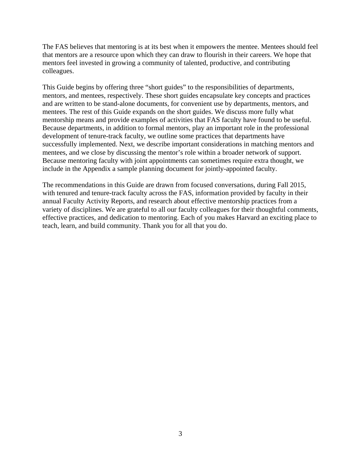The FAS believes that mentoring is at its best when it empowers the mentee. Mentees should feel that mentors are a resource upon which they can draw to flourish in their careers. We hope that mentors feel invested in growing a community of talented, productive, and contributing colleagues.

This Guide begins by offering three "short guides" to the responsibilities of departments, mentors, and mentees, respectively. These short guides encapsulate key concepts and practices and are written to be stand-alone documents, for convenient use by departments, mentors, and mentees. The rest of this Guide expands on the short guides. We discuss more fully what mentorship means and provide examples of activities that FAS faculty have found to be useful. Because departments, in addition to formal mentors, play an important role in the professional development of tenure-track faculty, we outline some practices that departments have successfully implemented. Next, we describe important considerations in matching mentors and mentees, and we close by discussing the mentor's role within a broader network of support. Because mentoring faculty with joint appointments can sometimes require extra thought, we include in the Appendix a sample planning document for jointly-appointed faculty.

The recommendations in this Guide are drawn from focused conversations, during Fall 2015, with tenured and tenure-track faculty across the FAS, information provided by faculty in their annual Faculty Activity Reports, and research about effective mentorship practices from a variety of disciplines. We are grateful to all our faculty colleagues for their thoughtful comments, effective practices, and dedication to mentoring. Each of you makes Harvard an exciting place to teach, learn, and build community. Thank you for all that you do.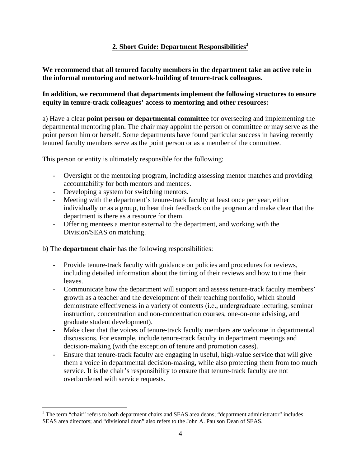## **2. Short Guide: Department Responsibilities3**

**We recommend that all tenured faculty members in the department take an active role in the informal mentoring and network-building of tenure-track colleagues.** 

## **In addition, we recommend that departments implement the following structures to ensure equity in tenure-track colleagues' access to mentoring and other resources:**

a) Have a clear **point person or departmental committee** for overseeing and implementing the departmental mentoring plan. The chair may appoint the person or committee or may serve as the point person him or herself. Some departments have found particular success in having recently tenured faculty members serve as the point person or as a member of the committee.

This person or entity is ultimately responsible for the following:

- Oversight of the mentoring program, including assessing mentor matches and providing accountability for both mentors and mentees.
- Developing a system for switching mentors.
- Meeting with the department's tenure-track faculty at least once per year, either individually or as a group, to hear their feedback on the program and make clear that the department is there as a resource for them.
- Offering mentees a mentor external to the department, and working with the Division/SEAS on matching.

#### b) The **department chair** has the following responsibilities:

- Provide tenure-track faculty with guidance on policies and procedures for reviews, including detailed information about the timing of their reviews and how to time their leaves.
- Communicate how the department will support and assess tenure-track faculty members' growth as a teacher and the development of their teaching portfolio, which should demonstrate effectiveness in a variety of contexts (i.e., undergraduate lecturing, seminar instruction, concentration and non-concentration courses, one-on-one advising, and graduate student development).
- Make clear that the voices of tenure-track faculty members are welcome in departmental discussions. For example, include tenure-track faculty in department meetings and decision-making (with the exception of tenure and promotion cases).
- Ensure that tenure-track faculty are engaging in useful, high-value service that will give them a voice in departmental decision-making, while also protecting them from too much service. It is the chair's responsibility to ensure that tenure-track faculty are not overburdened with service requests.

<sup>&</sup>lt;sup>3</sup> The term "chair" refers to both department chairs and SEAS area deans; "department administrator" includes SEAS area directors; and "divisional dean" also refers to the John A. Paulson Dean of SEAS.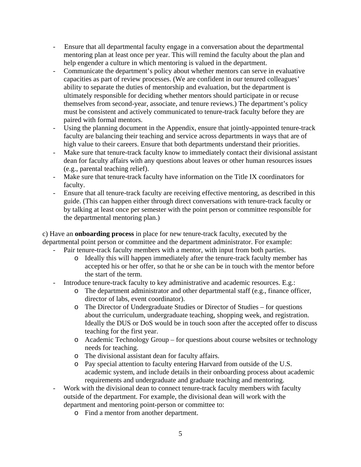- Ensure that all departmental faculty engage in a conversation about the departmental mentoring plan at least once per year. This will remind the faculty about the plan and help engender a culture in which mentoring is valued in the department.
- Communicate the department's policy about whether mentors can serve in evaluative capacities as part of review processes. (We are confident in our tenured colleagues' ability to separate the duties of mentorship and evaluation, but the department is ultimately responsible for deciding whether mentors should participate in or recuse themselves from second-year, associate, and tenure reviews.) The department's policy must be consistent and actively communicated to tenure-track faculty before they are paired with formal mentors.
- Using the planning document in the Appendix, ensure that jointly-appointed tenure-track faculty are balancing their teaching and service across departments in ways that are of high value to their careers. Ensure that both departments understand their priorities.
- Make sure that tenure-track faculty know to immediately contact their divisional assistant dean for faculty affairs with any questions about leaves or other human resources issues (e.g., parental teaching relief).
- Make sure that tenure-track faculty have information on the Title IX coordinators for faculty.
- Ensure that all tenure-track faculty are receiving effective mentoring, as described in this guide. (This can happen either through direct conversations with tenure-track faculty or by talking at least once per semester with the point person or committee responsible for the departmental mentoring plan.)

c) Have an **onboarding process** in place for new tenure-track faculty, executed by the departmental point person or committee and the department administrator. For example:

- Pair tenure-track faculty members with a mentor, with input from both parties.
	- o Ideally this will happen immediately after the tenure-track faculty member has accepted his or her offer, so that he or she can be in touch with the mentor before the start of the term.
- Introduce tenure-track faculty to key administrative and academic resources. E.g.:
	- o The department administrator and other departmental staff (e.g., finance officer, director of labs, event coordinator).
	- o The Director of Undergraduate Studies or Director of Studies for questions about the curriculum, undergraduate teaching, shopping week, and registration. Ideally the DUS or DoS would be in touch soon after the accepted offer to discuss teaching for the first year.
	- o Academic Technology Group for questions about course websites or technology needs for teaching.
	- o The divisional assistant dean for faculty affairs.
	- o Pay special attention to faculty entering Harvard from outside of the U.S. academic system, and include details in their onboarding process about academic requirements and undergraduate and graduate teaching and mentoring.
- Work with the divisional dean to connect tenure-track faculty members with faculty outside of the department. For example, the divisional dean will work with the department and mentoring point-person or committee to:
	- o Find a mentor from another department.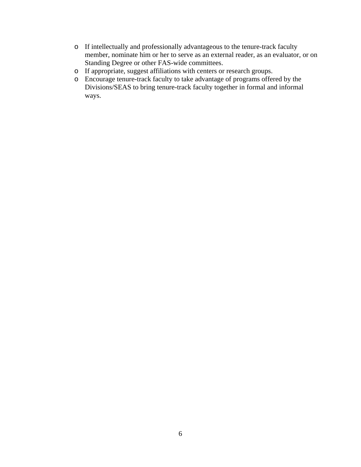- o If intellectually and professionally advantageous to the tenure-track faculty member, nominate him or her to serve as an external reader, as an evaluator, or on Standing Degree or other FAS-wide committees.
- o If appropriate, suggest affiliations with centers or research groups.
- o Encourage tenure-track faculty to take advantage of programs offered by the Divisions/SEAS to bring tenure-track faculty together in formal and informal ways.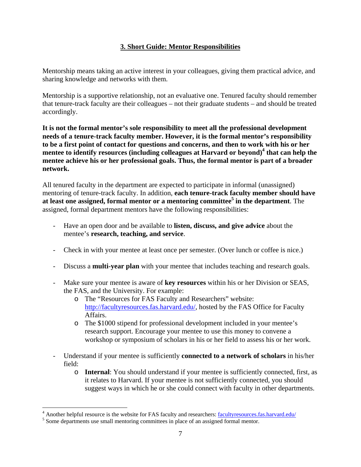## **3. Short Guide: Mentor Responsibilities**

Mentorship means taking an active interest in your colleagues, giving them practical advice, and sharing knowledge and networks with them.

Mentorship is a supportive relationship, not an evaluative one. Tenured faculty should remember that tenure-track faculty are their colleagues – not their graduate students – and should be treated accordingly.

**It is not the formal mentor's sole responsibility to meet all the professional development needs of a tenure-track faculty member. However, it is the formal mentor's responsibility to be a first point of contact for questions and concerns, and then to work with his or her mentee to identify resources (including colleagues at Harvard or beyond)<sup>4</sup> that can help the mentee achieve his or her professional goals. Thus, the formal mentor is part of a broader network.** 

All tenured faculty in the department are expected to participate in informal (unassigned) mentoring of tenure-track faculty. In addition, **each tenure-track faculty member should have at least one assigned, formal mentor or a mentoring committee5 in the department**. The assigned, formal department mentors have the following responsibilities:

- Have an open door and be available to **listen, discuss, and give advice** about the mentee's **research, teaching, and service**.
- Check in with your mentee at least once per semester. (Over lunch or coffee is nice.)
- Discuss a **multi-year plan** with your mentee that includes teaching and research goals.
- Make sure your mentee is aware of **key resources** within his or her Division or SEAS, the FAS, and the University. For example:
	- o The "Resources for FAS Faculty and Researchers" website: http://facultyresources.fas.harvard.edu/, hosted by the FAS Office for Faculty Affairs.
	- o The \$1000 stipend for professional development included in your mentee's research support. Encourage your mentee to use this money to convene a workshop or symposium of scholars in his or her field to assess his or her work.
- Understand if your mentee is sufficiently **connected to a network of scholars** in his/her field:
	- o **Internal**: You should understand if your mentee is sufficiently connected, first, as it relates to Harvard. If your mentee is not sufficiently connected, you should suggest ways in which he or she could connect with faculty in other departments.

 $\overline{a}$ 

 $^{4}$  Another helpful resource is the website for FAS faculty and researchers:  $\frac{f_{\text{acultyresources,fas,harvard.edu}}}{f_{\text{sm}}}\approx 5$ 

 $<sup>5</sup>$  Some departments use small mentoring committees in place of an assigned formal mentor.</sup>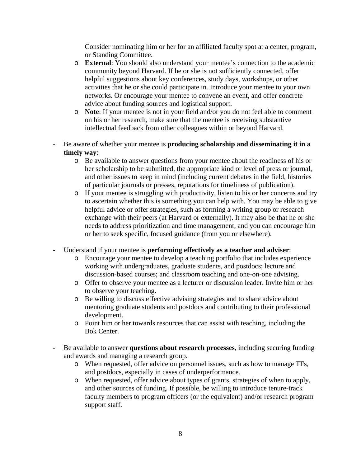Consider nominating him or her for an affiliated faculty spot at a center, program, or Standing Committee.

- o **External**: You should also understand your mentee's connection to the academic community beyond Harvard. If he or she is not sufficiently connected, offer helpful suggestions about key conferences, study days, workshops, or other activities that he or she could participate in. Introduce your mentee to your own networks. Or encourage your mentee to convene an event, and offer concrete advice about funding sources and logistical support.
- o **Note**: If your mentee is not in your field and/or you do not feel able to comment on his or her research, make sure that the mentee is receiving substantive intellectual feedback from other colleagues within or beyond Harvard.
- Be aware of whether your mentee is **producing scholarship and disseminating it in a timely way**:
	- o Be available to answer questions from your mentee about the readiness of his or her scholarship to be submitted, the appropriate kind or level of press or journal, and other issues to keep in mind (including current debates in the field, histories of particular journals or presses, reputations for timeliness of publication).
	- o If your mentee is struggling with productivity, listen to his or her concerns and try to ascertain whether this is something you can help with. You may be able to give helpful advice or offer strategies, such as forming a writing group or research exchange with their peers (at Harvard or externally). It may also be that he or she needs to address prioritization and time management, and you can encourage him or her to seek specific, focused guidance (from you or elsewhere).
- Understand if your mentee is **performing effectively as a teacher and adviser**:
	- o Encourage your mentee to develop a teaching portfolio that includes experience working with undergraduates, graduate students, and postdocs; lecture and discussion-based courses; and classroom teaching and one-on-one advising.
	- o Offer to observe your mentee as a lecturer or discussion leader. Invite him or her to observe your teaching.
	- o Be willing to discuss effective advising strategies and to share advice about mentoring graduate students and postdocs and contributing to their professional development.
	- o Point him or her towards resources that can assist with teaching, including the Bok Center.
- Be available to answer **questions about research processes**, including securing funding and awards and managing a research group.
	- o When requested, offer advice on personnel issues, such as how to manage TFs, and postdocs, especially in cases of underperformance.
	- o When requested, offer advice about types of grants, strategies of when to apply, and other sources of funding. If possible, be willing to introduce tenure-track faculty members to program officers (or the equivalent) and/or research program support staff.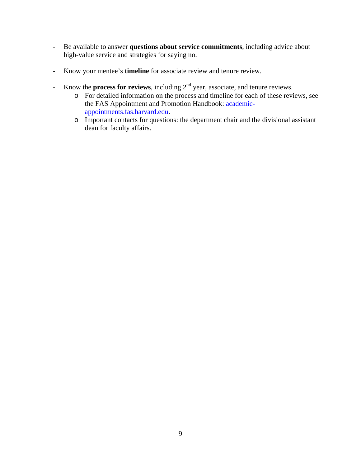- Be available to answer **questions about service commitments**, including advice about high-value service and strategies for saying no.
- Know your mentee's **timeline** for associate review and tenure review.
- Know the **process for reviews**, including 2nd year, associate, and tenure reviews.
	- o For detailed information on the process and timeline for each of these reviews, see the FAS Appointment and Promotion Handbook: academicappointments.fas.harvard.edu.
	- o Important contacts for questions: the department chair and the divisional assistant dean for faculty affairs.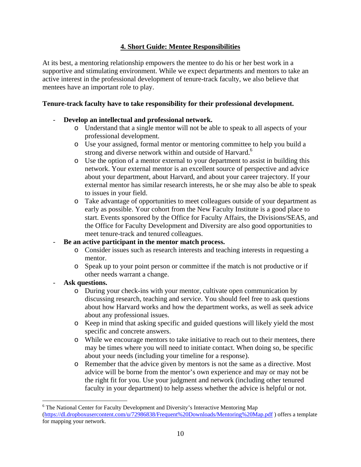## **4. Short Guide: Mentee Responsibilities**

At its best, a mentoring relationship empowers the mentee to do his or her best work in a supportive and stimulating environment. While we expect departments and mentors to take an active interest in the professional development of tenure-track faculty, we also believe that mentees have an important role to play.

## **Tenure-track faculty have to take responsibility for their professional development.**

## - **Develop an intellectual and professional network.**

- o Understand that a single mentor will not be able to speak to all aspects of your professional development.
- o Use your assigned, formal mentor or mentoring committee to help you build a strong and diverse network within and outside of Harvard.<sup>6</sup>
- o Use the option of a mentor external to your department to assist in building this network. Your external mentor is an excellent source of perspective and advice about your department, about Harvard, and about your career trajectory. If your external mentor has similar research interests, he or she may also be able to speak to issues in your field.
- o Take advantage of opportunities to meet colleagues outside of your department as early as possible. Your cohort from the New Faculty Institute is a good place to start. Events sponsored by the Office for Faculty Affairs, the Divisions/SEAS, and the Office for Faculty Development and Diversity are also good opportunities to meet tenure-track and tenured colleagues.

## - **Be an active participant in the mentor match process.**

- o Consider issues such as research interests and teaching interests in requesting a mentor.
- o Speak up to your point person or committee if the match is not productive or if other needs warrant a change.

## - **Ask questions.**

 $\overline{a}$ 

- o During your check-ins with your mentor, cultivate open communication by discussing research, teaching and service. You should feel free to ask questions about how Harvard works and how the department works, as well as seek advice about any professional issues.
- o Keep in mind that asking specific and guided questions will likely yield the most specific and concrete answers.
- o While we encourage mentors to take initiative to reach out to their mentees, there may be times where you will need to initiate contact. When doing so, be specific about your needs (including your timeline for a response).
- o Remember that the advice given by mentors is not the same as a directive. Most advice will be borne from the mentor's own experience and may or may not be the right fit for you. Use your judgment and network (including other tenured faculty in your department) to help assess whether the advice is helpful or not.

<sup>&</sup>lt;sup>6</sup> The National Center for Faculty Development and Diversity's Interactive Mentoring Map (https://dl.dropboxusercontent.com/u/72986838/Frequent%20Downloads/Mentoring%20Map.pdf ) offers a template for mapping your network.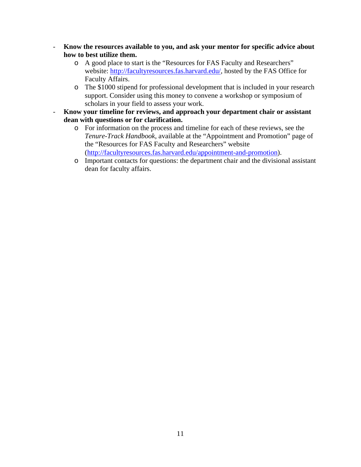- **Know the resources available to you, and ask your mentor for specific advice about how to best utilize them.** 
	- o A good place to start is the "Resources for FAS Faculty and Researchers" website: http://facultyresources.fas.harvard.edu/, hosted by the FAS Office for Faculty Affairs.
	- o The \$1000 stipend for professional development that is included in your research support. Consider using this money to convene a workshop or symposium of scholars in your field to assess your work.
- **Know your timeline for reviews, and approach your department chair or assistant dean with questions or for clarification.** 
	- o For information on the process and timeline for each of these reviews, see the *Tenure-Track Handbook*, available at the "Appointment and Promotion" page of the "Resources for FAS Faculty and Researchers" website (http://facultyresources.fas.harvard.edu/appointment-and-promotion).
	- o Important contacts for questions: the department chair and the divisional assistant dean for faculty affairs.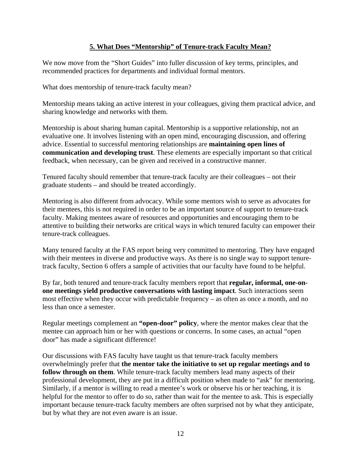## **5. What Does "Mentorship" of Tenure-track Faculty Mean?**

We now move from the "Short Guides" into fuller discussion of key terms, principles, and recommended practices for departments and individual formal mentors.

What does mentorship of tenure-track faculty mean?

Mentorship means taking an active interest in your colleagues, giving them practical advice, and sharing knowledge and networks with them.

Mentorship is about sharing human capital. Mentorship is a supportive relationship, not an evaluative one. It involves listening with an open mind, encouraging discussion, and offering advice. Essential to successful mentoring relationships are **maintaining open lines of communication and developing trust**. These elements are especially important so that critical feedback, when necessary, can be given and received in a constructive manner.

Tenured faculty should remember that tenure-track faculty are their colleagues – not their graduate students – and should be treated accordingly.

Mentoring is also different from advocacy. While some mentors wish to serve as advocates for their mentees, this is not required in order to be an important source of support to tenure-track faculty. Making mentees aware of resources and opportunities and encouraging them to be attentive to building their networks are critical ways in which tenured faculty can empower their tenure-track colleagues.

Many tenured faculty at the FAS report being very committed to mentoring. They have engaged with their mentees in diverse and productive ways. As there is no single way to support tenuretrack faculty, Section 6 offers a sample of activities that our faculty have found to be helpful.

By far, both tenured and tenure-track faculty members report that **regular, informal, one-onone meetings yield productive conversations with lasting impact**. Such interactions seem most effective when they occur with predictable frequency – as often as once a month, and no less than once a semester.

Regular meetings complement an **"open-door" policy**, where the mentor makes clear that the mentee can approach him or her with questions or concerns. In some cases, an actual "open door" has made a significant difference!

Our discussions with FAS faculty have taught us that tenure-track faculty members overwhelmingly prefer that **the mentor take the initiative to set up regular meetings and to follow through on them**. While tenure-track faculty members lead many aspects of their professional development, they are put in a difficult position when made to "ask" for mentoring. Similarly, if a mentor is willing to read a mentee's work or observe his or her teaching, it is helpful for the mentor to offer to do so, rather than wait for the mentee to ask. This is especially important because tenure-track faculty members are often surprised not by what they anticipate, but by what they are not even aware is an issue.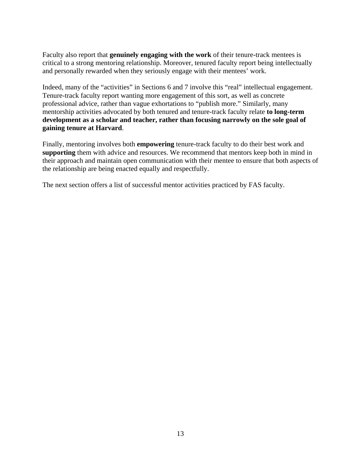Faculty also report that **genuinely engaging with the work** of their tenure-track mentees is critical to a strong mentoring relationship. Moreover, tenured faculty report being intellectually and personally rewarded when they seriously engage with their mentees' work.

Indeed, many of the "activities" in Sections 6 and 7 involve this "real" intellectual engagement. Tenure-track faculty report wanting more engagement of this sort, as well as concrete professional advice, rather than vague exhortations to "publish more." Similarly, many mentorship activities advocated by both tenured and tenure-track faculty relate **to long-term development as a scholar and teacher, rather than focusing narrowly on the sole goal of gaining tenure at Harvard**.

Finally, mentoring involves both **empowering** tenure-track faculty to do their best work and **supporting** them with advice and resources. We recommend that mentors keep both in mind in their approach and maintain open communication with their mentee to ensure that both aspects of the relationship are being enacted equally and respectfully.

The next section offers a list of successful mentor activities practiced by FAS faculty.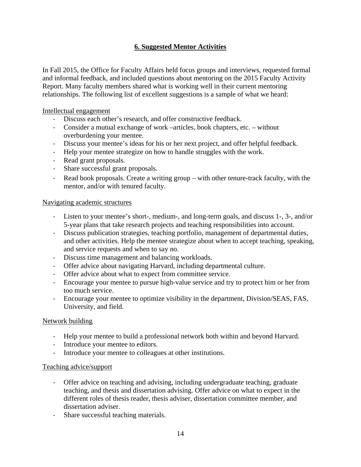## **6. Suggested Mentor Activities**

In Fall 2015, the Office for Faculty Affairs held focus groups and interviews, requested formal and informal feedback, and included questions about mentoring on the 2015 Faculty Activity Report. Many faculty members shared what is working well in their current mentoring relationships. The following list of excellent suggestions is a sample of what we heard:

Intellectual engagement

- ‐ Discuss each other's research, and offer constructive feedback.
- ‐ Consider a mutual exchange of work –articles, book chapters, etc. without overburdening your mentee.
- ‐ Discuss your mentee's ideas for his or her next project, and offer helpful feedback.
- ‐ Help your mentee strategize on how to handle struggles with the work.
- ‐ Read grant proposals.
- ‐ Share successful grant proposals.
- ‐ Read book proposals. Create a writing group with other tenure-track faculty, with the mentor, and/or with tenured faculty.

#### Navigating academic structures

- ‐ Listen to your mentee's short-, medium-, and long-term goals, and discuss 1-, 3-, and/or 5-year plans that take research projects and teaching responsibilities into account.
- ‐ Discuss publication strategies, teaching portfolio, management of departmental duties, and other activities. Help the mentee strategize about when to accept teaching, speaking, and service requests and when to say no.
- ‐ Discuss time management and balancing workloads.
- ‐ Offer advice about navigating Harvard, including departmental culture.
- ‐ Offer advice about what to expect from committee service.
- ‐ Encourage your mentee to pursue high-value service and try to protect him or her from too much service.
- ‐ Encourage your mentee to optimize visibility in the department, Division/SEAS, FAS, University, and field.

#### Network building

- ‐ Help your mentee to build a professional network both within and beyond Harvard.
- ‐ Introduce your mentee to editors.
- ‐ Introduce your mentee to colleagues at other institutions.

#### Teaching advice/support

- ‐ Offer advice on teaching and advising, including undergraduate teaching, graduate teaching, and thesis and dissertation advising. Offer advice on what to expect in the different roles of thesis reader, thesis adviser, dissertation committee member, and dissertation adviser.
- ‐ Share successful teaching materials.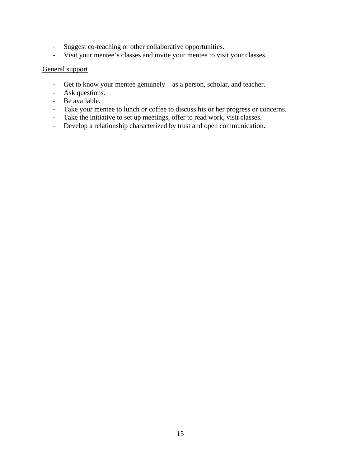- ‐ Suggest co-teaching or other collaborative opportunities.
- ‐ Visit your mentee's classes and invite your mentee to visit your classes.

#### General support

- ‐ Get to know your mentee genuinely as a person, scholar, and teacher.
- ‐ Ask questions.
- ‐ Be available.
- ‐ Take your mentee to lunch or coffee to discuss his or her progress or concerns.
- ‐ Take the initiative to set up meetings, offer to read work, visit classes.
- ‐ Develop a relationship characterized by trust and open communication.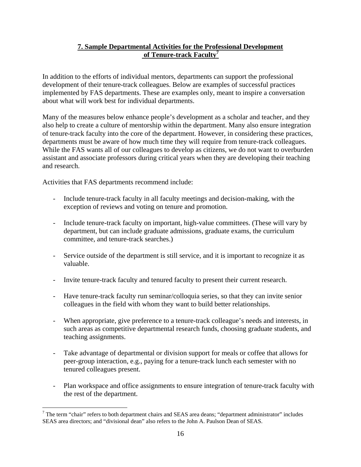## **7. Sample Departmental Activities for the Professional Development of Tenure-track Faculty7**

In addition to the efforts of individual mentors, departments can support the professional development of their tenure-track colleagues. Below are examples of successful practices implemented by FAS departments. These are examples only, meant to inspire a conversation about what will work best for individual departments.

Many of the measures below enhance people's development as a scholar and teacher, and they also help to create a culture of mentorship within the department. Many also ensure integration of tenure-track faculty into the core of the department. However, in considering these practices, departments must be aware of how much time they will require from tenure-track colleagues. While the FAS wants all of our colleagues to develop as citizens, we do not want to overburden assistant and associate professors during critical years when they are developing their teaching and research.

Activities that FAS departments recommend include:

 $\overline{a}$ 

- Include tenure-track faculty in all faculty meetings and decision-making, with the exception of reviews and voting on tenure and promotion.
- Include tenure-track faculty on important, high-value committees. (These will vary by department, but can include graduate admissions, graduate exams, the curriculum committee, and tenure-track searches.)
- Service outside of the department is still service, and it is important to recognize it as valuable.
- Invite tenure-track faculty and tenured faculty to present their current research.
- Have tenure-track faculty run seminar/colloquia series, so that they can invite senior colleagues in the field with whom they want to build better relationships.
- When appropriate, give preference to a tenure-track colleague's needs and interests, in such areas as competitive departmental research funds, choosing graduate students, and teaching assignments.
- Take advantage of departmental or division support for meals or coffee that allows for peer-group interaction, e.g., paying for a tenure-track lunch each semester with no tenured colleagues present.
- Plan workspace and office assignments to ensure integration of tenure-track faculty with the rest of the department.

 $7$  The term "chair" refers to both department chairs and SEAS area deans; "department administrator" includes SEAS area directors; and "divisional dean" also refers to the John A. Paulson Dean of SEAS.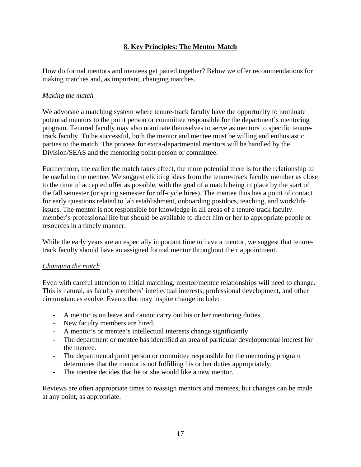## **8. Key Principles: The Mentor Match**

How do formal mentors and mentees get paired together? Below we offer recommendations for making matches and, as important, changing matches.

### *Making the match*

We advocate a matching system where tenure-track faculty have the opportunity to nominate potential mentors to the point person or committee responsible for the department's mentoring program. Tenured faculty may also nominate themselves to serve as mentors to specific tenuretrack faculty. To be successful, both the mentor and mentee must be willing and enthusiastic parties to the match. The process for extra-departmental mentors will be handled by the Division/SEAS and the mentoring point-person or committee.

Furthermore, the earlier the match takes effect, the more potential there is for the relationship to be useful to the mentee. We suggest eliciting ideas from the tenure-track faculty member as close to the time of accepted offer as possible, with the goal of a match being in place by the start of the fall semester (or spring semester for off-cycle hires). The mentee thus has a point of contact for early questions related to lab establishment, onboarding postdocs, teaching, and work/life issues. The mentor is not responsible for knowledge in all areas of a tenure-track faculty member's professional life but should be available to direct him or her to appropriate people or resources in a timely manner.

While the early years are an especially important time to have a mentor, we suggest that tenuretrack faculty should have an assigned formal mentor throughout their appointment.

#### *Changing the match*

Even with careful attention to initial matching, mentor/mentee relationships will need to change. This is natural, as faculty members' intellectual interests, professional development, and other circumstances evolve. Events that may inspire change include:

- A mentor is on leave and cannot carry out his or her mentoring duties.
- New faculty members are hired.
- A mentor's or mentee's intellectual interests change significantly.
- The department or mentee has identified an area of particular developmental interest for the mentee.
- The departmental point person or committee responsible for the mentoring program determines that the mentor is not fulfilling his or her duties appropriately.
- The mentee decides that he or she would like a new mentor.

Reviews are often appropriate times to reassign mentors and mentees, but changes can be made at any point, as appropriate.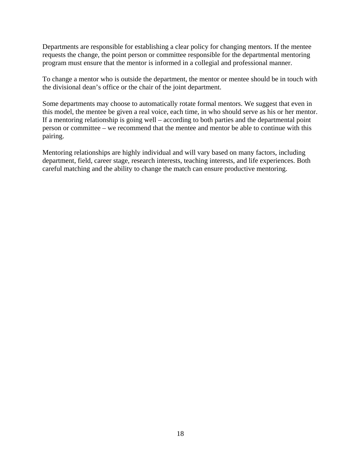Departments are responsible for establishing a clear policy for changing mentors. If the mentee requests the change, the point person or committee responsible for the departmental mentoring program must ensure that the mentor is informed in a collegial and professional manner.

To change a mentor who is outside the department, the mentor or mentee should be in touch with the divisional dean's office or the chair of the joint department.

Some departments may choose to automatically rotate formal mentors. We suggest that even in this model, the mentee be given a real voice, each time, in who should serve as his or her mentor. If a mentoring relationship is going well – according to both parties and the departmental point person or committee – we recommend that the mentee and mentor be able to continue with this pairing.

Mentoring relationships are highly individual and will vary based on many factors, including department, field, career stage, research interests, teaching interests, and life experiences. Both careful matching and the ability to change the match can ensure productive mentoring.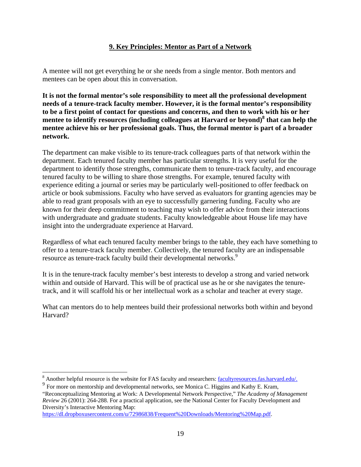## **9. Key Principles: Mentor as Part of a Network**

A mentee will not get everything he or she needs from a single mentor. Both mentors and mentees can be open about this in conversation.

**It is not the formal mentor's sole responsibility to meet all the professional development needs of a tenure-track faculty member. However, it is the formal mentor's responsibility to be a first point of contact for questions and concerns, and then to work with his or her mentee to identify resources (including colleagues at Harvard or beyond)<sup>8</sup> that can help the mentee achieve his or her professional goals. Thus, the formal mentor is part of a broader network.** 

The department can make visible to its tenure-track colleagues parts of that network within the department. Each tenured faculty member has particular strengths. It is very useful for the department to identify those strengths, communicate them to tenure-track faculty, and encourage tenured faculty to be willing to share those strengths. For example, tenured faculty with experience editing a journal or series may be particularly well-positioned to offer feedback on article or book submissions. Faculty who have served as evaluators for granting agencies may be able to read grant proposals with an eye to successfully garnering funding. Faculty who are known for their deep commitment to teaching may wish to offer advice from their interactions with undergraduate and graduate students. Faculty knowledgeable about House life may have insight into the undergraduate experience at Harvard.

Regardless of what each tenured faculty member brings to the table, they each have something to offer to a tenure-track faculty member. Collectively, the tenured faculty are an indispensable resource as tenure-track faculty build their developmental networks.<sup>9</sup>

It is in the tenure-track faculty member's best interests to develop a strong and varied network within and outside of Harvard. This will be of practical use as he or she navigates the tenuretrack, and it will scaffold his or her intellectual work as a scholar and teacher at every stage.

What can mentors do to help mentees build their professional networks both within and beyond Harvard?

Diversity's Interactive Mentoring Map: https://dl.dropboxusercontent.com/u/72986838/Frequent%20Downloads/Mentoring%20Map.pdf.

<sup>&</sup>lt;sup>8</sup> Another helpful resource is the website for FAS faculty and researchers: <u>facultyresources.fas.harvard.edu/.</u>

<sup>&</sup>lt;sup>9</sup> For more on mentorship and developmental networks, see Monica C. Higgins and Kathy E. Kram, "Reconceptualizing Mentoring at Work: A Developmental Network Perspective," *The Academy of Management Review* 26 (2001): 264-288. For a practical application, see the National Center for Faculty Development and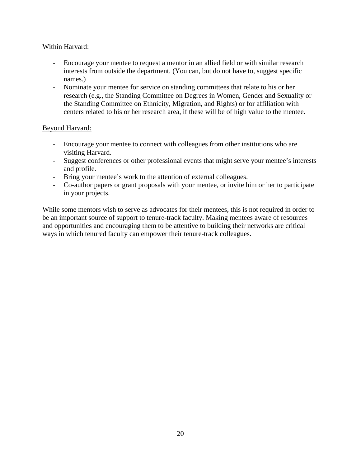### Within Harvard:

- Encourage your mentee to request a mentor in an allied field or with similar research interests from outside the department. (You can, but do not have to, suggest specific names.)
- Nominate your mentee for service on standing committees that relate to his or her research (e.g., the Standing Committee on Degrees in Women, Gender and Sexuality or the Standing Committee on Ethnicity, Migration, and Rights) or for affiliation with centers related to his or her research area, if these will be of high value to the mentee.

#### Beyond Harvard:

- Encourage your mentee to connect with colleagues from other institutions who are visiting Harvard.
- Suggest conferences or other professional events that might serve your mentee's interests and profile.
- Bring your mentee's work to the attention of external colleagues.
- Co-author papers or grant proposals with your mentee, or invite him or her to participate in your projects.

While some mentors wish to serve as advocates for their mentees, this is not required in order to be an important source of support to tenure-track faculty. Making mentees aware of resources and opportunities and encouraging them to be attentive to building their networks are critical ways in which tenured faculty can empower their tenure-track colleagues.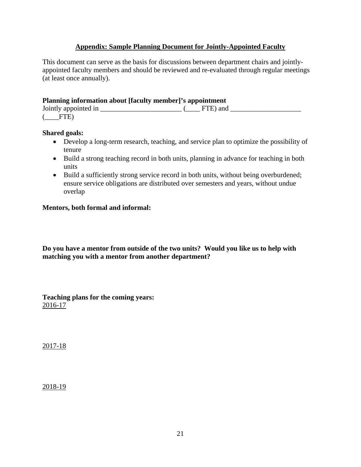## **Appendix: Sample Planning Document for Jointly-Appointed Faculty**

This document can serve as the basis for discussions between department chairs and jointlyappointed faculty members and should be reviewed and re-evaluated through regular meetings (at least once annually).

| Planning information about [faculty member]'s appointment |                      |
|-----------------------------------------------------------|----------------------|
|                                                           | $FPTD \rightarrow 1$ |

| Jointly appointed in |  | FIE) and |  |
|----------------------|--|----------|--|
| ETE <sup>,</sup>     |  |          |  |

#### **Shared goals:**

- Develop a long-term research, teaching, and service plan to optimize the possibility of tenure
- Build a strong teaching record in both units, planning in advance for teaching in both units
- Build a sufficiently strong service record in both units, without being overburdened; ensure service obligations are distributed over semesters and years, without undue overlap

## **Mentors, both formal and informal:**

**Do you have a mentor from outside of the two units? Would you like us to help with matching you with a mentor from another department?** 

**Teaching plans for the coming years:**  2016-17

2017-18

2018-19